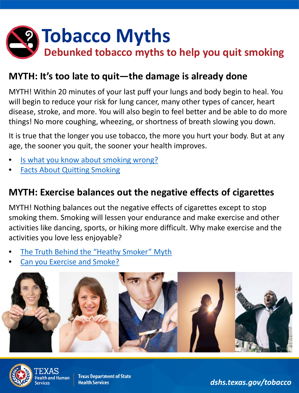

#### **MYTH: It's too late to quit—the damage is already done**

MYTH! Within 20 minutes of your last puff your lungs and body begin to heal. You will begin to reduce your risk for lung cancer, many other types of cancer, heart disease, stroke, and more. You will also begin to feel better and be able to do more things! No more coughing, wheezing, or shortness of breath slowing you down.

It is true that the longer you use tobacco, the more you hurt your body. But at any age, the sooner you quit, the sooner your health improves.

- Is what you know about smoking wrong?
- **[Facts About Quitting Smoking](https://www.cdc.gov/tobacco/data_statistics/fact_sheets/cessation/quitting/index.htm)**

#### **MYTH: Exercise balances out the negative effects of cigarettes**

MYTH! Nothing balances out the negative effects of cigarettes except to stop smoking them. Smoking will lessen your endurance and make exercise and other activities like dancing, sports, or hiking more difficult. Why make exercise and the activities you love less enjoyable?

- [The Truth Behind the "Heathy Smoker" Myth](https://www.mdanderson.org/publications/focused-on-health/healthy-smoker-myth.h30Z1590624.html)
- [Can you Exercise and Smoke?](https://www.livestrong.com/article/482679-can-you-exercise-smoke/)





alth and Human

**Texas Department of State Health Services** 

*dshs.texas.gov/tobacco*